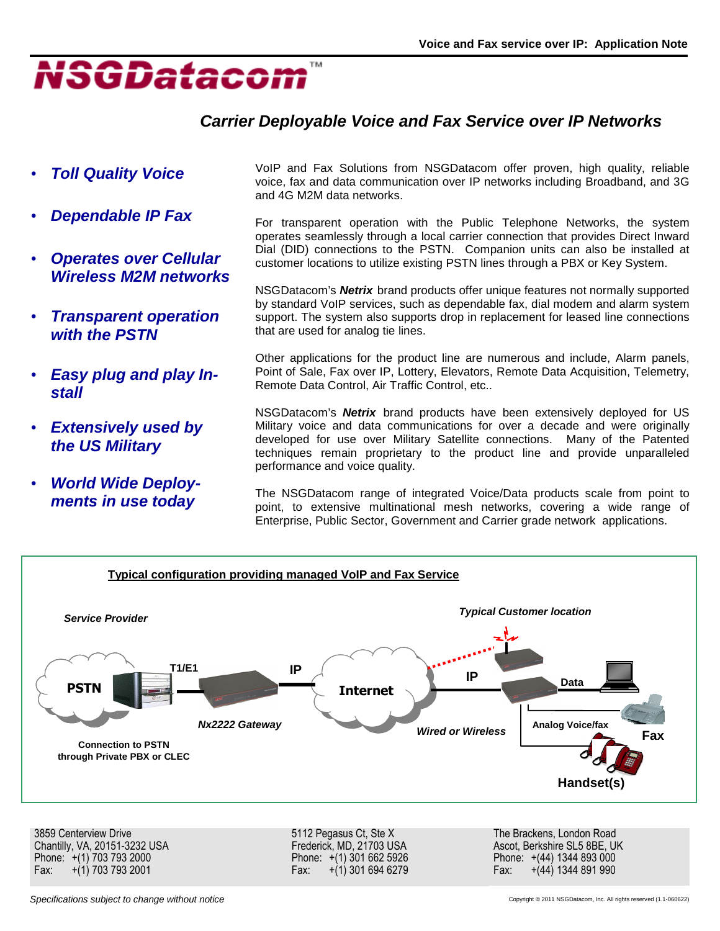

## **Carrier Deployable Voice and Fax Service over IP Networks**

- **Toll Quality Voice**
- **Dependable IP Fax**
- **Operates over Cellular Wireless M2M networks**
- **Transparent operation with the PSTN**
- **Easy plug and play Install**
- **Extensively used by the US Military**
- **World Wide Deployments in use today**

VoIP and Fax Solutions from NSGDatacom offer proven, high quality, reliable voice, fax and data communication over IP networks including Broadband, and 3G and 4G M2M data networks.

For transparent operation with the Public Telephone Networks, the system operates seamlessly through a local carrier connection that provides Direct Inward Dial (DID) connections to the PSTN. Companion units can also be installed at customer locations to utilize existing PSTN lines through a PBX or Key System.

NSGDatacom's **Netrix** brand products offer unique features not normally supported by standard VoIP services, such as dependable fax, dial modem and alarm system support. The system also supports drop in replacement for leased line connections that are used for analog tie lines.

Other applications for the product line are numerous and include, Alarm panels, Point of Sale, Fax over IP, Lottery, Elevators, Remote Data Acquisition, Telemetry, Remote Data Control, Air Traffic Control, etc..

NSGDatacom's **Netrix** brand products have been extensively deployed for US Military voice and data communications for over a decade and were originally developed for use over Military Satellite connections. Many of the Patented techniques remain proprietary to the product line and provide unparalleled performance and voice quality.

The NSGDatacom range of integrated Voice/Data products scale from point to point, to extensive multinational mesh networks, covering a wide range of Enterprise, Public Sector, Government and Carrier grade network applications.



Specifications subject to change without notice Copyright © 2011 NSGDatacom, Inc. All rights reserved (1.1-060622)